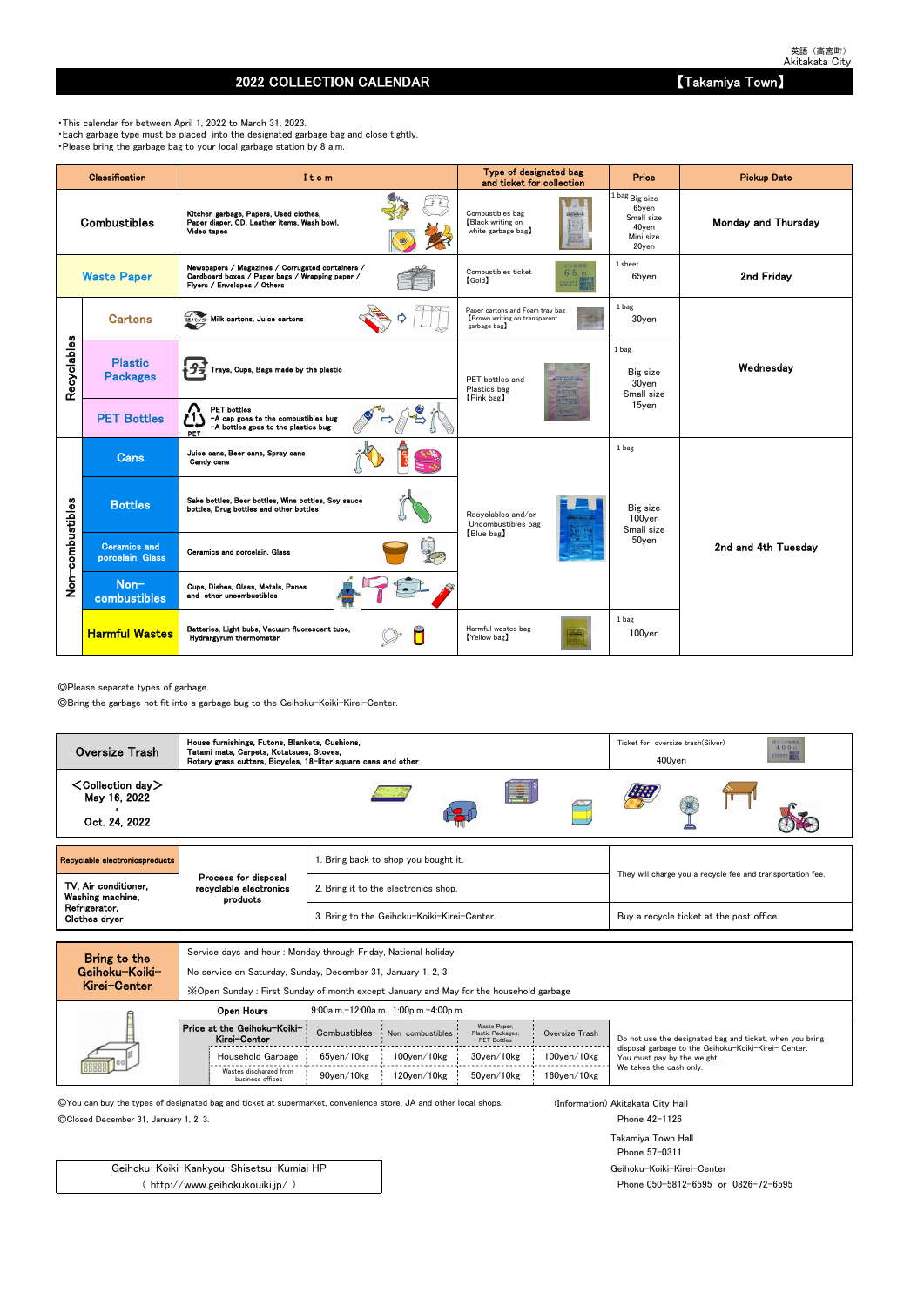## 2022 COLLECTION CALENDAR **Example 2022** COLLECTION CALENDAR

◎Please separate types of garbage.

◎Bring the garbage not fit into a garbage bug to the Geihoku-Koiki-Kirei-Center.

Service days and hour : Monday through Friday, National holiday

No service on Saturday, Sunday, December 31, January 1, 2, 3

◎You can buy the types of designated bag and ticket at supermarket, convenience store, JA and other local shops. (Information) Akitakata City Hall

◎Closed December 31, January 1, 2, 3. Phone 42-1126

Takamiya Town Hall Phone 57-0311 Geihoku-Koiki-Kirei-Center Phone 050-5812-6595 or 0826-72-6595

・This calendar for between April 1, 2022 to March 31, 2023. ・Each garbage type must be placed into the designated garbage bag and close tightly. ・Please bring the garbage bag to your local garbage station by 8 a.m.

|                  | <b>Classification</b>                   | Item                                                                                                                               | Type of designated bag<br>and ticket for collection                             | Price                                                                       | <b>Pickup Date</b>         |
|------------------|-----------------------------------------|------------------------------------------------------------------------------------------------------------------------------------|---------------------------------------------------------------------------------|-----------------------------------------------------------------------------|----------------------------|
|                  | <b>Combustibles</b>                     | Kitchen garbage, Papers, Used clothes,<br>Paper diaper, CD, Leather items, Wash bowl,<br>Video tapes                               | Combustibles bag<br>2個えるごみ(の)<br>Black writing on<br>white garbage bag)         | $1$ bag $Big$ size<br>65yen<br>Small size<br>40yen<br>Mini size<br>$20$ yen | <b>Monday and Thursday</b> |
|                  | <b>Waste Paper</b>                      | Newspapers / Magazines / Corrugated containers /<br>Cardboard boxes / Paper bags / Wrapping paper /<br>Flyers / Envelopes / Others | ごみ処理券<br>Combustibles ticket<br>65円<br>$[\text{Gold}]$<br><b>EUMRS</b>          | 1 sheet<br>$65$ yen                                                         | 2nd Friday                 |
|                  | <b>Cartons</b>                          | <b>細心ク Milk cartons, Juice cartons</b>                                                                                             | Paper cartons and Foam tray bag<br>Brown writing on transparent<br>garbage bag] | 1 bag<br>30yen                                                              |                            |
| Recyclables      | <b>Plastic</b><br><b>Packages</b>       | Trays, Cups, Bags made by the plastic                                                                                              | PET bottles and<br>Plastics bag<br>[Pink bag]                                   | 1 bag<br>Big size<br>30yen<br>Small size                                    | Wednesday                  |
|                  | <b>PET Bottles</b>                      | <b>PET</b> bottles<br>-A cap goes to the combustibles bug<br>-A bottles goes to the plastics bug<br>PET                            |                                                                                 | 15yen                                                                       |                            |
|                  | <b>Cans</b>                             | Juice cans, Beer cans, Spray cans<br>Candy cans                                                                                    |                                                                                 | 1 bag                                                                       |                            |
|                  | <b>Bottles</b>                          | Sake bottles, Beer bottles, Wine bottles, Soy sauce<br>bottles. Drug bottles and other bottles                                     | Recvclables and/or<br>Uncombustibles bag                                        | Big size<br>100yen<br>Small size                                            |                            |
| Non-combustibles | <b>Ceramics and</b><br>porcelain, Glass | Ceramics and porcelain, Glass                                                                                                      | [Blue bag]                                                                      | 50yen                                                                       | 2nd and 4th Tuesdav        |
|                  | Non-<br>combustibles                    | Cups, Dishes, Glass, Metals, Panes<br>and other uncombustibles                                                                     |                                                                                 |                                                                             |                            |
|                  | <b>Harmful Wastes</b>                   | Batteries, Light bubs, Vacuum fluorescent tube,<br>Hydrargyrum thermometer                                                         | Harmful wastes bag<br>[Yellow bag]                                              | 1 bag<br>$100$ <sub>ven</sub>                                               |                            |

| Kirei-Center | X Open Sunday: First Sunday of month except January and May for the household garbage |                                                        |                                       |                                   |                    |                                                                                     |  |  |  |  |
|--------------|---------------------------------------------------------------------------------------|--------------------------------------------------------|---------------------------------------|-----------------------------------|--------------------|-------------------------------------------------------------------------------------|--|--|--|--|
|              | Open Hours                                                                            |                                                        | 9:00a.m.-12:00a.m., 1:00p.m.-4:00p.m. |                                   |                    |                                                                                     |  |  |  |  |
|              | Price at the Geihoku-Koiki-<br>Kirei-Center                                           | Combustibles<br>Non-combustibles<br><b>PET Bottles</b> |                                       | Waste Paper,<br>Plastic Packages, | Oversize Trash     | Do not use the designated bag and ticket, when you bring                            |  |  |  |  |
|              | Household Garbage                                                                     | 65ven/10kg                                             | $100$ ven $/10$ kg                    | 30ven/10kg                        | $100$ ven $/10$ kg | disposal garbage to the Geihoku-Koiki-Kirei- Center.<br>You must pay by the weight. |  |  |  |  |
|              | Wastes discharged from<br>business offices                                            | 90ven/10kg                                             | 120ven/10kg                           | 50ven/10kg                        | $160$ ven $/10$ kg | We takes the cash only.                                                             |  |  |  |  |

Geihoku-Koiki-Kankyou-Shisetsu-Kumiai HP ( http://www.geihokukouiki.jp/ )

| Oversize Trash                                             | House furnishings, Futons, Blankets, Cushions,<br>Tatami mats, Carpets, Kotatsues, Stoves,<br>Rotary grass cutters, Bicycles, 18-liter square cans and other |                                             | 相大ごみ処理券<br>Ticket for oversize trash(Silver)<br>400円<br><b>RESERVE AND AND REALLY</b><br>$400$ yen |  |  |  |
|------------------------------------------------------------|--------------------------------------------------------------------------------------------------------------------------------------------------------------|---------------------------------------------|----------------------------------------------------------------------------------------------------|--|--|--|
| $\textsf{Collection day}$<br>May 16, 2022<br>Oct. 24, 2022 |                                                                                                                                                              | E                                           |                                                                                                    |  |  |  |
| Recyclable electronicsproducts                             |                                                                                                                                                              | 1. Bring back to shop you bought it.        |                                                                                                    |  |  |  |
| TV, Air conditioner,<br>Washing machine,                   | Process for disposal<br>recyclable electronics<br>products                                                                                                   | 2. Bring it to the electronics shop.        | They will charge you a recycle fee and transportation fee.                                         |  |  |  |
| Refrigerator,<br>Clothes dryer                             |                                                                                                                                                              | 3. Bring to the Geihoku-Koiki-Kirei-Center. | Buy a recycle ticket at the post office.                                                           |  |  |  |
|                                                            |                                                                                                                                                              |                                             |                                                                                                    |  |  |  |

| Bring to the                             |
|------------------------------------------|
| Geihoku-Koiki-                           |
| $\mathbf{z}$ . The state of $\mathbf{z}$ |